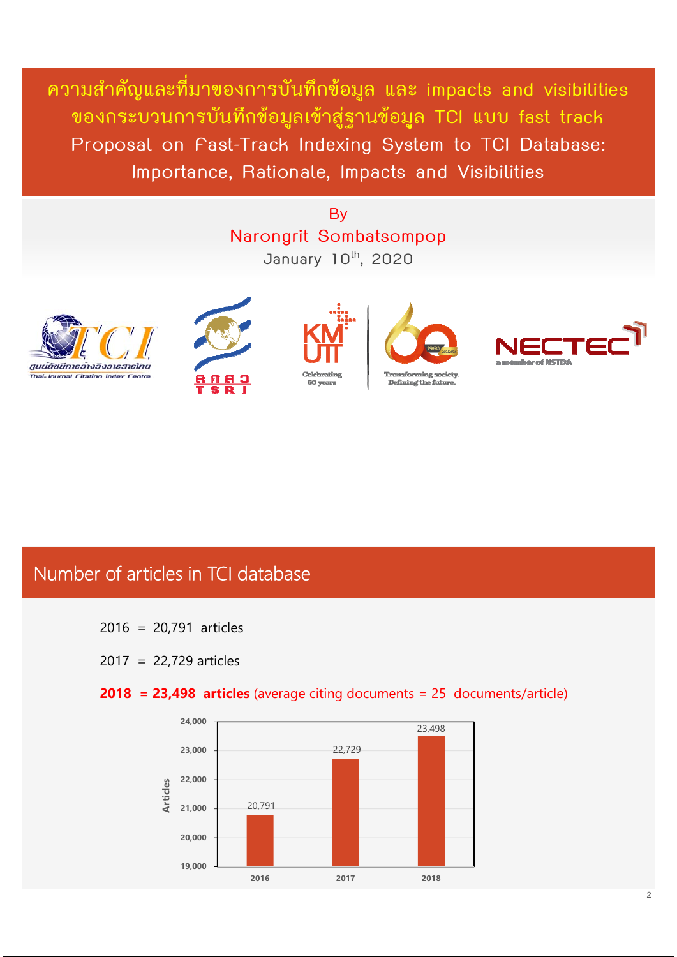**ความสําคัญและที่มาของการบนทั กขึ ้อมูล และ impacts and visibilities ของกระบวนการบนทั ึกข้อมูลเขาส้ ฐานข ู่ อม้ ูล TCI แบบ fast track Proposal on Fast-Track Indexing System to TCI Database: Importance, Rationale, Impacts and Visibilities** 

### **By Narongrit Sombatsompop January 10th, 2020**











### Number of articles in TCI database

- 2016 = 20,791 articles
- 2017 = 22,729 articles

#### **2018 = 23,498 articles** (average citing documents = 25 documents/article)

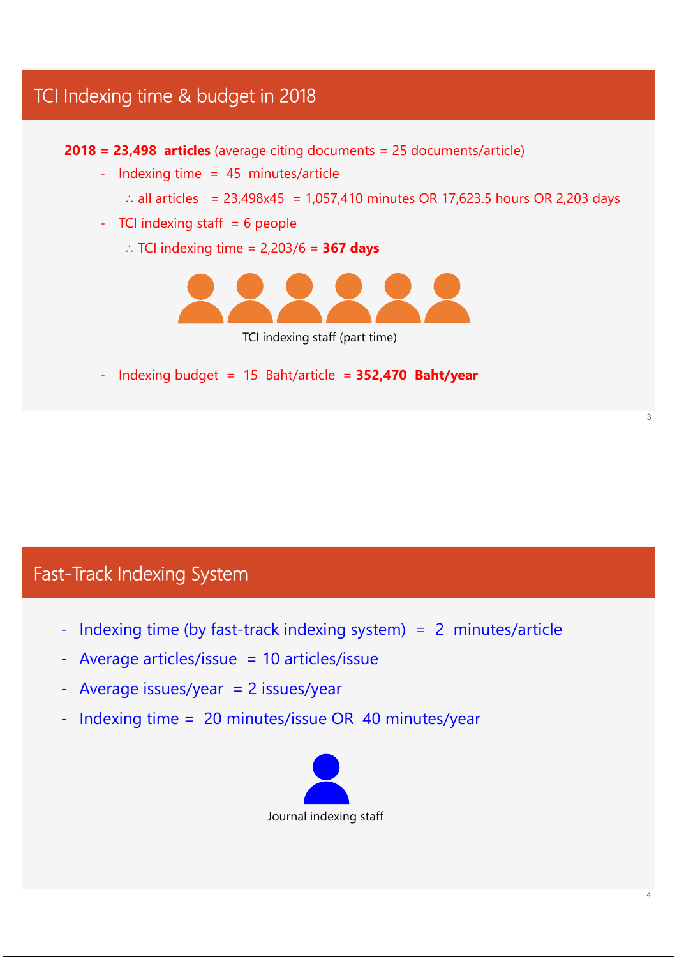# TCI Indexing time & budget in 2018 3 **2018 = 23,498 articles** (average citing documents = 25 documents/article) - Indexing time = 45 minutes/article ∴ all articles = 23,498x45 = 1,057,410 minutes OR 17,623.5 hours OR 2,203 days  $-$  TCI indexing staff  $= 6$  people ∴ TCI indexing time = 2,203/6 = **367 days** TCI indexing staff (part time) - Indexing budget = 15 Baht/article = **352,470 Baht/year**

### Fast-Track Indexing System

- Indexing time (by fast-track indexing system) = 2 minutes/article
- Average articles/issue = 10 articles/issue
- $-$  Average issues/year  $= 2$  issues/year
- Indexing time =  $20$  minutes/issue OR 40 minutes/year